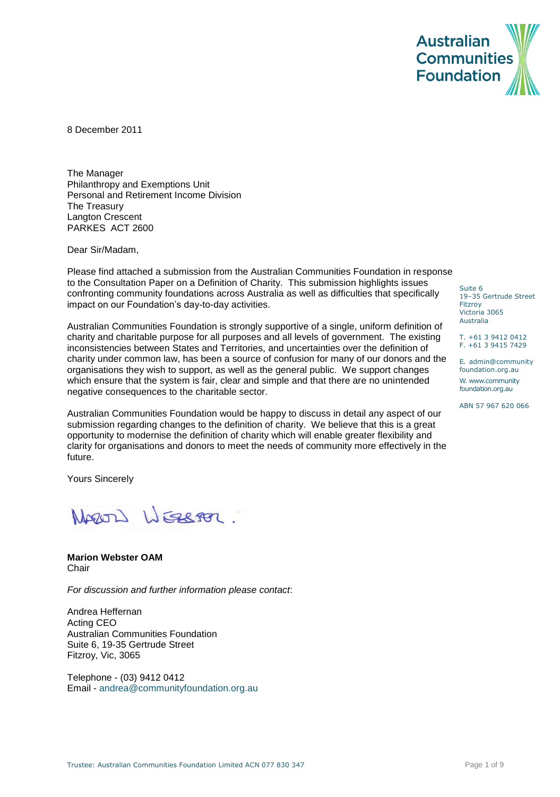

8 December 2011

The Manager Philanthropy and Exemptions Unit Personal and Retirement Income Division The Treasury Langton Crescent PARKES ACT 2600

Dear Sir/Madam,

Please find attached a submission from the Australian Communities Foundation in response to the Consultation Paper on a Definition of Charity. This submission highlights issues confronting community foundations across Australia as well as difficulties that specifically impact on our Foundation's day-to-day activities.

Australian Communities Foundation is strongly supportive of a single, uniform definition of charity and charitable purpose for all purposes and all levels of government. The existing inconsistencies between States and Territories, and uncertainties over the definition of charity under common law, has been a source of confusion for many of our donors and the organisations they wish to support, as well as the general public. We support changes which ensure that the system is fair, clear and simple and that there are no unintended negative consequences to the charitable sector.

Australian Communities Foundation would be happy to discuss in detail any aspect of our submission regarding changes to the definition of charity. We believe that this is a great opportunity to modernise the definition of charity which will enable greater flexibility and clarity for organisations and donors to meet the needs of community more effectively in the future.

Yours Sincerely

NARON WEBBER

#### **Marion Webster OAM Chair**

*For discussion and further information please contact*:

Andrea Heffernan Acting CEO Australian Communities Foundation Suite 6, 19-35 Gertrude Street Fitzroy, Vic, 3065

Telephone - (03) 9412 0412 Email - [andrea@communityfoundation.org.au](mailto:andrea@communityfoundation.org.au) Suite 6 19–35 Gertrude Street Fitzroy Victoria 3065 Australia

T. +61 3 9412 0412 F. +61 3 9415 7429

E. admin@community foundation.org.au W. www.community foundation.org.au

ABN 57 967 620 066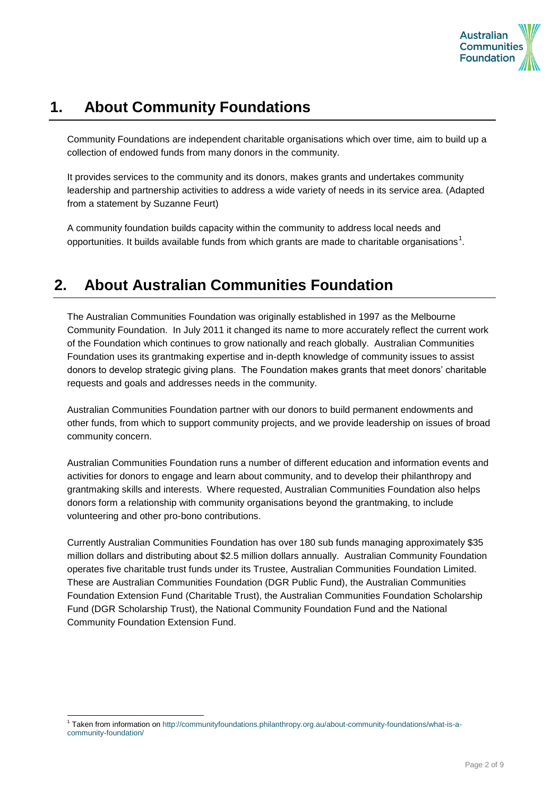

# **1. About Community Foundations**

Community Foundations are independent charitable organisations which over time, aim to build up a collection of endowed funds from many donors in the community.

It provides services to the community and its donors, makes grants and undertakes community leadership and partnership activities to address a wide variety of needs in its service area. (Adapted from a statement by Suzanne Feurt)

A community foundation builds capacity within the community to address local needs and opportunities. It builds available funds from which grants are made to charitable organisations<sup>1</sup>.

# **2. About Australian Communities Foundation**

The Australian Communities Foundation was originally established in 1997 as the Melbourne Community Foundation. In July 2011 it changed its name to more accurately reflect the current work of the Foundation which continues to grow nationally and reach globally. Australian Communities Foundation uses its grantmaking expertise and in-depth knowledge of community issues to assist donors to develop strategic giving plans. The Foundation makes grants that meet donors" charitable requests and goals and addresses needs in the community.

Australian Communities Foundation partner with our donors to build permanent endowments and other funds, from which to support community projects, and we provide leadership on issues of broad community concern.

Australian Communities Foundation runs a number of different education and information events and activities for donors to engage and learn about community, and to develop their philanthropy and grantmaking skills and interests. Where requested, Australian Communities Foundation also helps donors form a relationship with community organisations beyond the grantmaking, to include volunteering and other pro-bono contributions.

Currently Australian Communities Foundation has over 180 sub funds managing approximately \$35 million dollars and distributing about \$2.5 million dollars annually. Australian Community Foundation operates five charitable trust funds under its Trustee, Australian Communities Foundation Limited. These are Australian Communities Foundation (DGR Public Fund), the Australian Communities Foundation Extension Fund (Charitable Trust), the Australian Communities Foundation Scholarship Fund (DGR Scholarship Trust), the National Community Foundation Fund and the National Community Foundation Extension Fund.

l

<sup>1</sup> Taken from information o[n http://communityfoundations.philanthropy.org.au/about-community-foundations/what-is-a](http://communityfoundations.philanthropy.org.au/about-community-foundations/what-is-a-community-foundation/)[community-foundation/](http://communityfoundations.philanthropy.org.au/about-community-foundations/what-is-a-community-foundation/)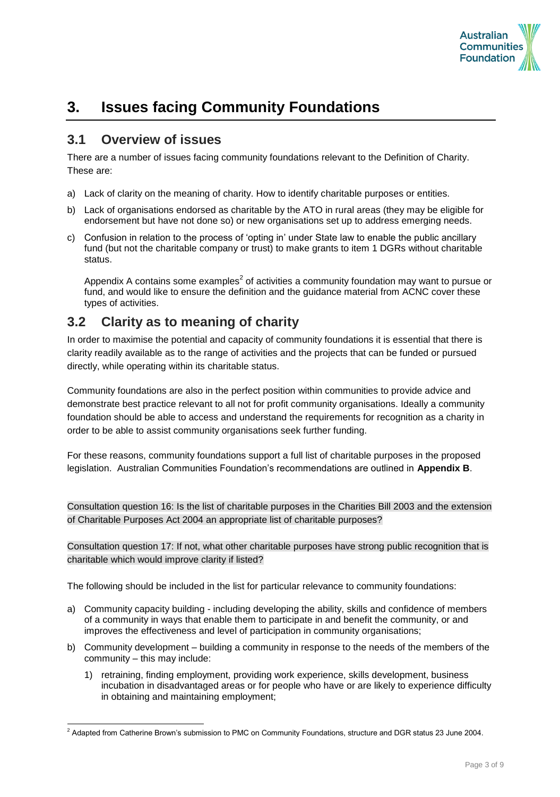

# **3. Issues facing Community Foundations**

### **3.1 Overview of issues**

l

There are a number of issues facing community foundations relevant to the Definition of Charity. These are:

- a) Lack of clarity on the meaning of charity. How to identify charitable purposes or entities.
- b) Lack of organisations endorsed as charitable by the ATO in rural areas (they may be eligible for endorsement but have not done so) or new organisations set up to address emerging needs.
- c) Confusion in relation to the process of "opting in" under State law to enable the public ancillary fund (but not the charitable company or trust) to make grants to item 1 DGRs without charitable status.

Appendix A contains some examples<sup>2</sup> of activities a community foundation may want to pursue or fund, and would like to ensure the definition and the quidance material from ACNC cover these types of activities.

## **3.2 Clarity as to meaning of charity**

In order to maximise the potential and capacity of community foundations it is essential that there is clarity readily available as to the range of activities and the projects that can be funded or pursued directly, while operating within its charitable status.

Community foundations are also in the perfect position within communities to provide advice and demonstrate best practice relevant to all not for profit community organisations. Ideally a community foundation should be able to access and understand the requirements for recognition as a charity in order to be able to assist community organisations seek further funding.

For these reasons, community foundations support a full list of charitable purposes in the proposed legislation. Australian Communities Foundation"s recommendations are outlined in **Appendix B**.

Consultation question 16: Is the list of charitable purposes in the Charities Bill 2003 and the extension of Charitable Purposes Act 2004 an appropriate list of charitable purposes?

Consultation question 17: If not, what other charitable purposes have strong public recognition that is charitable which would improve clarity if listed?

The following should be included in the list for particular relevance to community foundations:

- a) Community capacity building including developing the ability, skills and confidence of members of a community in ways that enable them to participate in and benefit the community, or and improves the effectiveness and level of participation in community organisations;
- b) Community development building a community in response to the needs of the members of the community – this may include:
	- 1) retraining, finding employment, providing work experience, skills development, business incubation in disadvantaged areas or for people who have or are likely to experience difficulty in obtaining and maintaining employment;

<sup>&</sup>lt;sup>2</sup> Adapted from Catherine Brown's submission to PMC on Community Foundations, structure and DGR status 23 June 2004.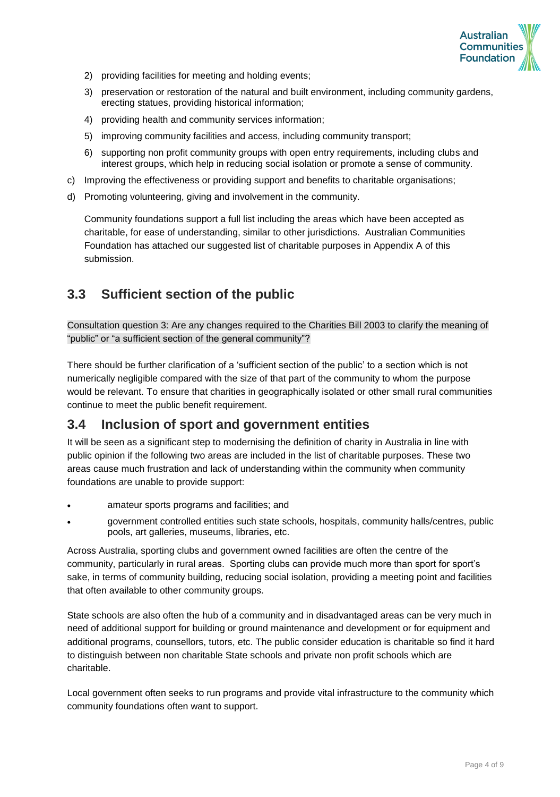

- 2) providing facilities for meeting and holding events;
- 3) preservation or restoration of the natural and built environment, including community gardens, erecting statues, providing historical information;
- 4) providing health and community services information;
- 5) improving community facilities and access, including community transport;
- 6) supporting non profit community groups with open entry requirements, including clubs and interest groups, which help in reducing social isolation or promote a sense of community.
- c) Improving the effectiveness or providing support and benefits to charitable organisations;
- d) Promoting volunteering, giving and involvement in the community.

Community foundations support a full list including the areas which have been accepted as charitable, for ease of understanding, similar to other jurisdictions. Australian Communities Foundation has attached our suggested list of charitable purposes in Appendix A of this submission.

## **3.3 Sufficient section of the public**

Consultation question 3: Are any changes required to the Charities Bill 2003 to clarify the meaning of "public" or "a sufficient section of the general community"?

There should be further clarification of a "sufficient section of the public" to a section which is not numerically negligible compared with the size of that part of the community to whom the purpose would be relevant. To ensure that charities in geographically isolated or other small rural communities continue to meet the public benefit requirement.

### **3.4 Inclusion of sport and government entities**

It will be seen as a significant step to modernising the definition of charity in Australia in line with public opinion if the following two areas are included in the list of charitable purposes. These two areas cause much frustration and lack of understanding within the community when community foundations are unable to provide support:

- amateur sports programs and facilities; and
- government controlled entities such state schools, hospitals, community halls/centres, public pools, art galleries, museums, libraries, etc.

Across Australia, sporting clubs and government owned facilities are often the centre of the community, particularly in rural areas. Sporting clubs can provide much more than sport for sport"s sake, in terms of community building, reducing social isolation, providing a meeting point and facilities that often available to other community groups.

State schools are also often the hub of a community and in disadvantaged areas can be very much in need of additional support for building or ground maintenance and development or for equipment and additional programs, counsellors, tutors, etc. The public consider education is charitable so find it hard to distinguish between non charitable State schools and private non profit schools which are charitable.

Local government often seeks to run programs and provide vital infrastructure to the community which community foundations often want to support.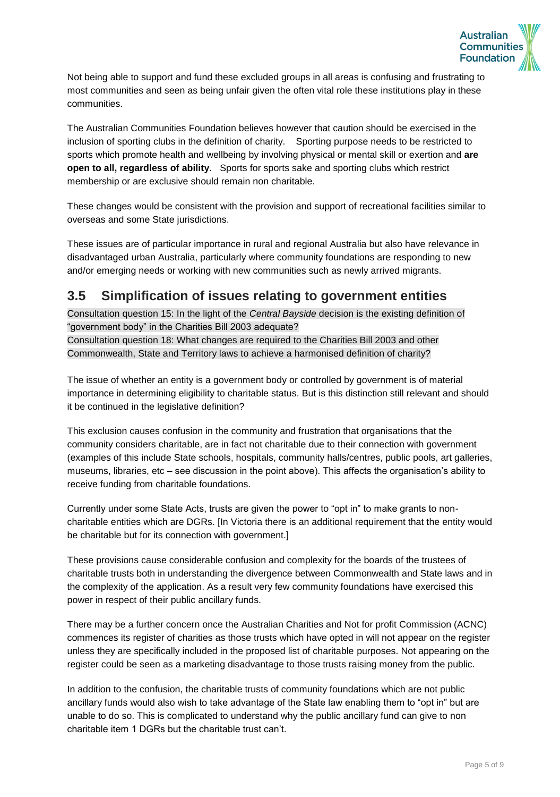

Not being able to support and fund these excluded groups in all areas is confusing and frustrating to most communities and seen as being unfair given the often vital role these institutions play in these communities.

The Australian Communities Foundation believes however that caution should be exercised in the inclusion of sporting clubs in the definition of charity. Sporting purpose needs to be restricted to sports which promote health and wellbeing by involving physical or mental skill or exertion and **are open to all, regardless of ability**. Sports for sports sake and sporting clubs which restrict membership or are exclusive should remain non charitable.

These changes would be consistent with the provision and support of recreational facilities similar to overseas and some State jurisdictions.

These issues are of particular importance in rural and regional Australia but also have relevance in disadvantaged urban Australia, particularly where community foundations are responding to new and/or emerging needs or working with new communities such as newly arrived migrants.

## **3.5 Simplification of issues relating to government entities**

Consultation question 15: In the light of the *Central Bayside* decision is the existing definition of "government body" in the Charities Bill 2003 adequate? Consultation question 18: What changes are required to the Charities Bill 2003 and other Commonwealth, State and Territory laws to achieve a harmonised definition of charity?

The issue of whether an entity is a government body or controlled by government is of material importance in determining eligibility to charitable status. But is this distinction still relevant and should it be continued in the legislative definition?

This exclusion causes confusion in the community and frustration that organisations that the community considers charitable, are in fact not charitable due to their connection with government (examples of this include State schools, hospitals, community halls/centres, public pools, art galleries, museums, libraries, etc – see discussion in the point above). This affects the organisation"s ability to receive funding from charitable foundations.

Currently under some State Acts, trusts are given the power to "opt in" to make grants to noncharitable entities which are DGRs. [In Victoria there is an additional requirement that the entity would be charitable but for its connection with government.]

These provisions cause considerable confusion and complexity for the boards of the trustees of charitable trusts both in understanding the divergence between Commonwealth and State laws and in the complexity of the application. As a result very few community foundations have exercised this power in respect of their public ancillary funds.

There may be a further concern once the Australian Charities and Not for profit Commission (ACNC) commences its register of charities as those trusts which have opted in will not appear on the register unless they are specifically included in the proposed list of charitable purposes. Not appearing on the register could be seen as a marketing disadvantage to those trusts raising money from the public.

In addition to the confusion, the charitable trusts of community foundations which are not public ancillary funds would also wish to take advantage of the State law enabling them to "opt in" but are unable to do so. This is complicated to understand why the public ancillary fund can give to non charitable item 1 DGRs but the charitable trust can"t.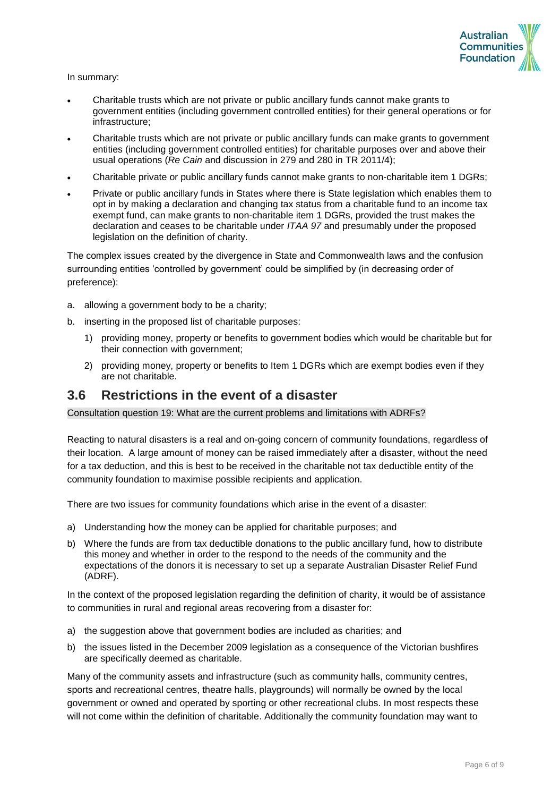

In summary:

- Charitable trusts which are not private or public ancillary funds cannot make grants to government entities (including government controlled entities) for their general operations or for infrastructure;
- Charitable trusts which are not private or public ancillary funds can make grants to government entities (including government controlled entities) for charitable purposes over and above their usual operations (*Re Cain* and discussion in 279 and 280 in TR 2011/4);
- Charitable private or public ancillary funds cannot make grants to non-charitable item 1 DGRs;
- Private or public ancillary funds in States where there is State legislation which enables them to opt in by making a declaration and changing tax status from a charitable fund to an income tax exempt fund, can make grants to non-charitable item 1 DGRs, provided the trust makes the declaration and ceases to be charitable under *ITAA 97* and presumably under the proposed legislation on the definition of charity.

The complex issues created by the divergence in State and Commonwealth laws and the confusion surrounding entities "controlled by government" could be simplified by (in decreasing order of preference):

- a. allowing a government body to be a charity;
- b. inserting in the proposed list of charitable purposes:
	- 1) providing money, property or benefits to government bodies which would be charitable but for their connection with government;
	- 2) providing money, property or benefits to Item 1 DGRs which are exempt bodies even if they are not charitable.

### **3.6 Restrictions in the event of a disaster**

Consultation question 19: What are the current problems and limitations with ADRFs?

Reacting to natural disasters is a real and on-going concern of community foundations, regardless of their location. A large amount of money can be raised immediately after a disaster, without the need for a tax deduction, and this is best to be received in the charitable not tax deductible entity of the community foundation to maximise possible recipients and application.

There are two issues for community foundations which arise in the event of a disaster:

- a) Understanding how the money can be applied for charitable purposes; and
- b) Where the funds are from tax deductible donations to the public ancillary fund, how to distribute this money and whether in order to the respond to the needs of the community and the expectations of the donors it is necessary to set up a separate Australian Disaster Relief Fund (ADRF).

In the context of the proposed legislation regarding the definition of charity, it would be of assistance to communities in rural and regional areas recovering from a disaster for:

- a) the suggestion above that government bodies are included as charities; and
- b) the issues listed in the December 2009 legislation as a consequence of the Victorian bushfires are specifically deemed as charitable.

Many of the community assets and infrastructure (such as community halls, community centres, sports and recreational centres, theatre halls, playgrounds) will normally be owned by the local government or owned and operated by sporting or other recreational clubs. In most respects these will not come within the definition of charitable. Additionally the community foundation may want to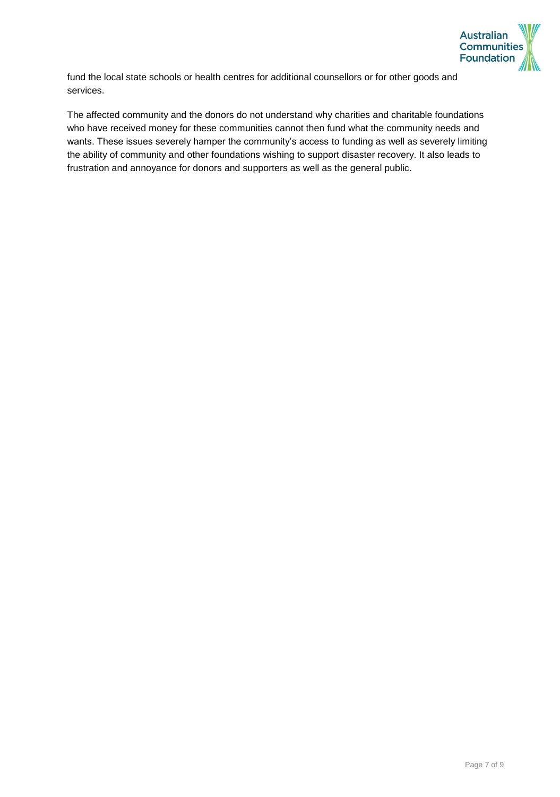

fund the local state schools or health centres for additional counsellors or for other goods and services.

The affected community and the donors do not understand why charities and charitable foundations who have received money for these communities cannot then fund what the community needs and wants. These issues severely hamper the community's access to funding as well as severely limiting the ability of community and other foundations wishing to support disaster recovery. It also leads to frustration and annoyance for donors and supporters as well as the general public.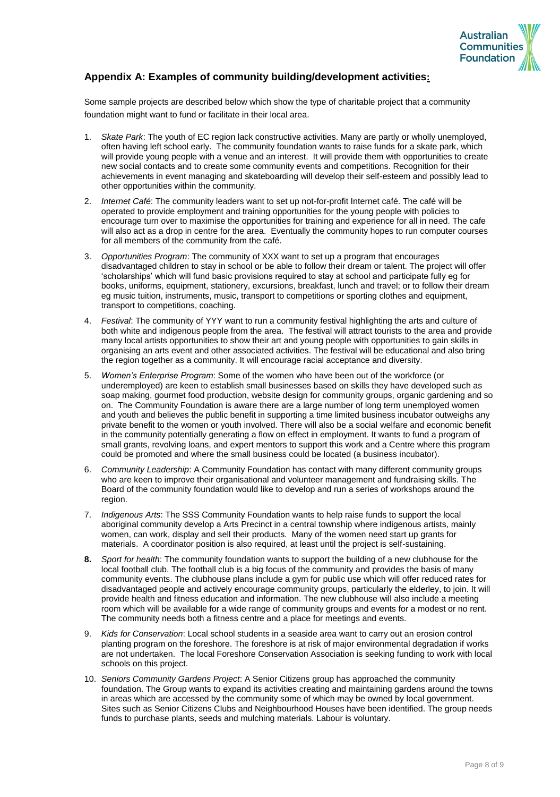

#### **Appendix A: Examples of community building/development activities:**

Some sample projects are described below which show the type of charitable project that a community foundation might want to fund or facilitate in their local area.

- 1. *Skate Park*: The youth of EC region lack constructive activities. Many are partly or wholly unemployed, often having left school early. The community foundation wants to raise funds for a skate park, which will provide young people with a venue and an interest. It will provide them with opportunities to create new social contacts and to create some community events and competitions. Recognition for their achievements in event managing and skateboarding will develop their self-esteem and possibly lead to other opportunities within the community.
- 2. *Internet Café*: The community leaders want to set up not-for-profit Internet café. The café will be operated to provide employment and training opportunities for the young people with policies to encourage turn over to maximise the opportunities for training and experience for all in need. The cafe will also act as a drop in centre for the area. Eventually the community hopes to run computer courses for all members of the community from the café.
- 3. *Opportunities Program*: The community of XXX want to set up a program that encourages disadvantaged children to stay in school or be able to follow their dream or talent. The project will offer "scholarships" which will fund basic provisions required to stay at school and participate fully eg for books, uniforms, equipment, stationery, excursions, breakfast, lunch and travel; or to follow their dream eg music tuition, instruments, music, transport to competitions or sporting clothes and equipment, transport to competitions, coaching.
- 4. *Festival*: The community of YYY want to run a community festival highlighting the arts and culture of both white and indigenous people from the area. The festival will attract tourists to the area and provide many local artists opportunities to show their art and young people with opportunities to gain skills in organising an arts event and other associated activities. The festival will be educational and also bring the region together as a community. It will encourage racial acceptance and diversity.
- 5. *Women's Enterprise Program*: Some of the women who have been out of the workforce (or underemployed) are keen to establish small businesses based on skills they have developed such as soap making, gourmet food production, website design for community groups, organic gardening and so on. The Community Foundation is aware there are a large number of long term unemployed women and youth and believes the public benefit in supporting a time limited business incubator outweighs any private benefit to the women or youth involved. There will also be a social welfare and economic benefit in the community potentially generating a flow on effect in employment. It wants to fund a program of small grants, revolving loans, and expert mentors to support this work and a Centre where this program could be promoted and where the small business could be located (a business incubator).
- 6. *Community Leadership*: A Community Foundation has contact with many different community groups who are keen to improve their organisational and volunteer management and fundraising skills. The Board of the community foundation would like to develop and run a series of workshops around the region.
- 7. *Indigenous Arts*: The SSS Community Foundation wants to help raise funds to support the local aboriginal community develop a Arts Precinct in a central township where indigenous artists, mainly women, can work, display and sell their products. Many of the women need start up grants for materials. A coordinator position is also required, at least until the project is self-sustaining.
- **8.** *Sport for health*: The community foundation wants to support the building of a new clubhouse for the local football club. The football club is a big focus of the community and provides the basis of many community events. The clubhouse plans include a gym for public use which will offer reduced rates for disadvantaged people and actively encourage community groups, particularly the elderley, to join. It will provide health and fitness education and information. The new clubhouse will also include a meeting room which will be available for a wide range of community groups and events for a modest or no rent. The community needs both a fitness centre and a place for meetings and events.
- 9. *Kids for Conservation*: Local school students in a seaside area want to carry out an erosion control planting program on the foreshore. The foreshore is at risk of major environmental degradation if works are not undertaken. The local Foreshore Conservation Association is seeking funding to work with local schools on this project.
- 10. *Seniors Community Gardens Project*: A Senior Citizens group has approached the community foundation. The Group wants to expand its activities creating and maintaining gardens around the towns in areas which are accessed by the community some of which may be owned by local government. Sites such as Senior Citizens Clubs and Neighbourhood Houses have been identified. The group needs funds to purchase plants, seeds and mulching materials. Labour is voluntary.